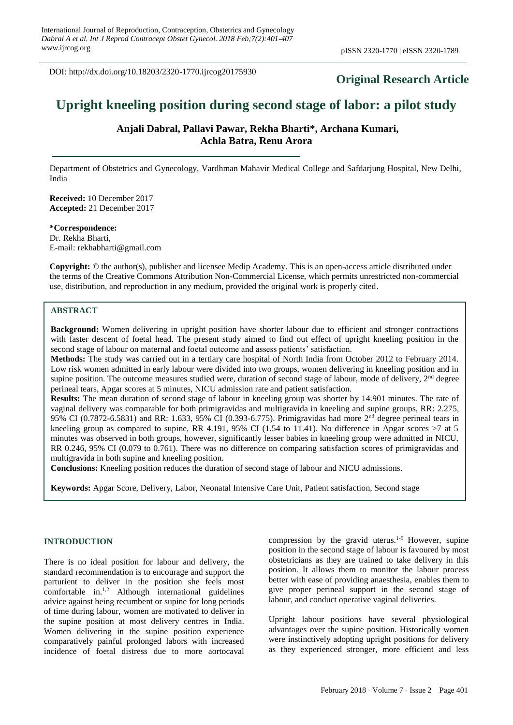DOI: http://dx.doi.org/10.18203/2320-1770.ijrcog20175930

# **Original Research Article**

# **Upright kneeling position during second stage of labor: a pilot study**

**Anjali Dabral, Pallavi Pawar, Rekha Bharti\*, Archana Kumari, Achla Batra, Renu Arora** 

Department of Obstetrics and Gynecology, Vardhman Mahavir Medical College and Safdarjung Hospital, New Delhi, India

**Received:** 10 December 2017 **Accepted:** 21 December 2017

**\*Correspondence:** Dr. Rekha Bharti, E-mail: rekhabharti@gmail.com

**Copyright:** © the author(s), publisher and licensee Medip Academy. This is an open-access article distributed under the terms of the Creative Commons Attribution Non-Commercial License, which permits unrestricted non-commercial use, distribution, and reproduction in any medium, provided the original work is properly cited.

### **ABSTRACT**

**Background:** Women delivering in upright position have shorter labour due to efficient and stronger contractions with faster descent of foetal head. The present study aimed to find out effect of upright kneeling position in the second stage of labour on maternal and foetal outcome and assess patients' satisfaction.

**Methods:** The study was carried out in a tertiary care hospital of North India from October 2012 to February 2014. Low risk women admitted in early labour were divided into two groups, women delivering in kneeling position and in supine position. The outcome measures studied were, duration of second stage of labour, mode of delivery,  $2<sup>nd</sup>$  degree perineal tears, Apgar scores at 5 minutes, NICU admission rate and patient satisfaction.

**Results:** The mean duration of second stage of labour in kneeling group was shorter by 14.901 minutes. The rate of vaginal delivery was comparable for both primigravidas and multigravida in kneeling and supine groups, RR: 2.275, 95% CI (0.7872-6.5831) and RR: 1.633, 95% CI (0.393-6.775). Primigravidas had more 2nd degree perineal tears in kneeling group as compared to supine, RR 4.191, 95% CI (1.54 to 11.41). No difference in Apgar scores >7 at 5 minutes was observed in both groups, however, significantly lesser babies in kneeling group were admitted in NICU, RR 0.246, 95% CI (0.079 to 0.761). There was no difference on comparing satisfaction scores of primigravidas and multigravida in both supine and kneeling position.

**Conclusions:** Kneeling position reduces the duration of second stage of labour and NICU admissions.

**Keywords:** Apgar Score, Delivery, Labor, Neonatal Intensive Care Unit, Patient satisfaction, Second stage

### **INTRODUCTION**

There is no ideal position for labour and delivery, the standard recommendation is to encourage and support the parturient to deliver in the position she feels most comfortable in.1,2 Although international guidelines advice against being recumbent or supine for long periods of time during labour, women are motivated to deliver in the supine position at most delivery centres in India. Women delivering in the supine position experience comparatively painful prolonged labors with increased incidence of foetal distress due to more aortocaval compression by the gravid uterus.1-5 However, supine position in the second stage of labour is favoured by most obstetricians as they are trained to take delivery in this position. It allows them to monitor the labour process better with ease of providing anaesthesia, enables them to give proper perineal support in the second stage of labour, and conduct operative vaginal deliveries.

Upright labour positions have several physiological advantages over the supine position. Historically women were instinctively adopting upright positions for delivery as they experienced stronger, more efficient and less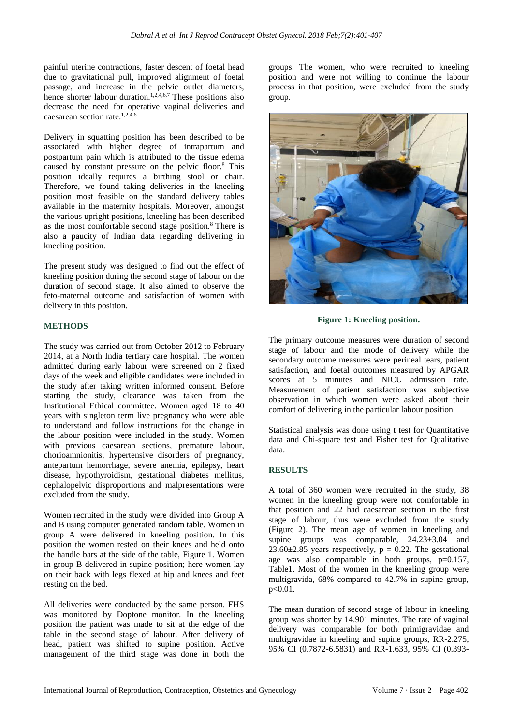painful uterine contractions, faster descent of foetal head due to gravitational pull, improved alignment of foetal passage, and increase in the pelvic outlet diameters, hence shorter labour duration.<sup>1,2,4,6,7</sup> These positions also decrease the need for operative vaginal deliveries and caesarean section rate. $1,2,4,6$ 

Delivery in squatting position has been described to be associated with higher degree of intrapartum and postpartum pain which is attributed to the tissue edema caused by constant pressure on the pelvic floor.<sup>8</sup> This position ideally requires a birthing stool or chair. Therefore, we found taking deliveries in the kneeling position most feasible on the standard delivery tables available in the maternity hospitals. Moreover, amongst the various upright positions, kneeling has been described as the most comfortable second stage position.<sup>8</sup> There is also a paucity of Indian data regarding delivering in kneeling position.

The present study was designed to find out the effect of kneeling position during the second stage of labour on the duration of second stage. It also aimed to observe the feto-maternal outcome and satisfaction of women with delivery in this position.

### **METHODS**

The study was carried out from October 2012 to February 2014, at a North India tertiary care hospital. The women admitted during early labour were screened on 2 fixed days of the week and eligible candidates were included in the study after taking written informed consent. Before starting the study, clearance was taken from the Institutional Ethical committee. Women aged 18 to 40 years with singleton term live pregnancy who were able to understand and follow instructions for the change in the labour position were included in the study. Women with previous caesarean sections, premature labour, chorioamnionitis, hypertensive disorders of pregnancy, antepartum hemorrhage, severe anemia, epilepsy, heart disease, hypothyroidism, gestational diabetes mellitus, cephalopelvic disproportions and malpresentations were excluded from the study.

Women recruited in the study were divided into Group A and B using computer generated random table. Women in group A were delivered in kneeling position. In this position the women rested on their knees and held onto the handle bars at the side of the table, Figure 1. Women in group B delivered in supine position; here women lay on their back with legs flexed at hip and knees and feet resting on the bed.

All deliveries were conducted by the same person. FHS was monitored by Doptone monitor. In the kneeling position the patient was made to sit at the edge of the table in the second stage of labour. After delivery of head, patient was shifted to supine position. Active management of the third stage was done in both the groups. The women, who were recruited to kneeling position and were not willing to continue the labour process in that position, were excluded from the study group.



**Figure 1: Kneeling position.**

The primary outcome measures were duration of second stage of labour and the mode of delivery while the secondary outcome measures were perineal tears, patient satisfaction, and foetal outcomes measured by APGAR scores at 5 minutes and NICU admission rate. Measurement of patient satisfaction was subjective observation in which women were asked about their comfort of delivering in the particular labour position.

Statistical analysis was done using t test for Quantitative data and Chi-square test and Fisher test for Qualitative data.

# **RESULTS**

A total of 360 women were recruited in the study, 38 women in the kneeling group were not comfortable in that position and 22 had caesarean section in the first stage of labour, thus were excluded from the study (Figure 2). The mean age of women in kneeling and supine groups was comparable, 24.23±3.04 and 23.60 $\pm$ 2.85 years respectively, p = 0.22. The gestational age was also comparable in both groups, p=0.157, Table1. Most of the women in the kneeling group were multigravida, 68% compared to 42.7% in supine group, p<0.01.

The mean duration of second stage of labour in kneeling group was shorter by 14.901 minutes. The rate of vaginal delivery was comparable for both primigravidae and multigravidae in kneeling and supine groups, RR-2.275, 95% CI (0.7872-6.5831) and RR-1.633, 95% CI (0.393-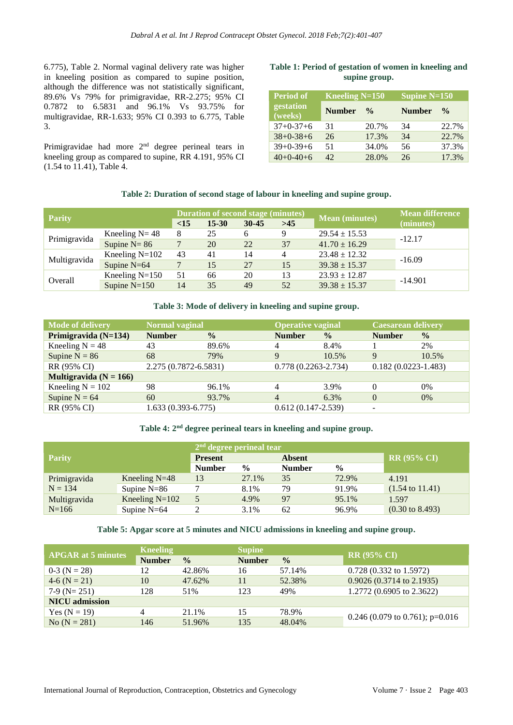6.775), Table 2. Normal vaginal delivery rate was higher in kneeling position as compared to supine position, although the difference was not statistically significant, 89.6% Vs 79% for primigravidae, RR-2.275; 95% CI 0.7872 to 6.5831 and 96.1% Vs 93.75% for multigravidae, RR-1.633; 95% CI 0.393 to 6.775, Table 3.

Primigravidae had more  $2<sup>nd</sup>$  degree perineal tears in kneeling group as compared to supine, RR 4.191, 95% CI (1.54 to 11.41), Table 4.

# **Table 1: Period of gestation of women in kneeling and supine group.**

| <b>Period of</b>     | Kneeling $N=150$ |               | Supine $N=150$ |               |  |  |
|----------------------|------------------|---------------|----------------|---------------|--|--|
| gestation<br>(weeks) | <b>Number</b>    | $\frac{0}{0}$ | <b>Number</b>  | $\frac{0}{0}$ |  |  |
| $37+0-37+6$          | 31               | 20.7%         | 34             | 22.7%         |  |  |
| $38+0-38+6$          | 26               | 17.3%         | 34             | 22.7%         |  |  |
| $39+0-39+6$          | 51               | 34.0%         | 56             | 37.3%         |  |  |
| $40+0-40+6$          | 42.              | 28.0%         | 26             | 17.3%         |  |  |

### **Table 2: Duration of second stage of labour in kneeling and supine group.**

| <b>Parity</b> |                   | <b>Duration of second stage (minutes)</b> |           |           |       |                       | <b>Mean difference</b> |  |
|---------------|-------------------|-------------------------------------------|-----------|-----------|-------|-----------------------|------------------------|--|
|               |                   | <15                                       | $15 - 30$ | $30 - 45$ | $>45$ | <b>Mean</b> (minutes) | (minutes)              |  |
|               | Kneeling $N = 48$ | 8                                         | 25        | 6         | 9     | $29.54 \pm 15.53$     |                        |  |
| Primigravida  | Supine $N = 86$   |                                           | 20        | 22        | 37    | $41.70 \pm 16.29$     | $-12.17$               |  |
| Multigravida  | Kneeling $N=102$  | 43                                        | 41        | 14        | 4     | $23.48 \pm 12.32$     |                        |  |
|               | Supine $N=64$     |                                           | 15        | 27        | 15    | $39.38 \pm 15.37$     | $-16.09$               |  |
| Overall       | Kneeling $N=150$  | 51                                        | 66        | 20        | 13    | $23.93 \pm 12.87$     |                        |  |
|               | Supine $N=150$    | 14                                        | 35        | 49        | 52    | $39.38 \pm 15.37$     | $-14.901$              |  |

# **Table 3: Mode of delivery in kneeling and supine group.**

| <b>Mode of delivery</b>    | <b>Normal vaginal</b>  |               | <b>Operative vaginal</b> |               | <b>Caesarean delivery</b> |               |
|----------------------------|------------------------|---------------|--------------------------|---------------|---------------------------|---------------|
| Primigravida (N=134)       | <b>Number</b>          | $\frac{0}{0}$ | <b>Number</b>            | $\frac{0}{0}$ | <b>Number</b>             | $\frac{0}{0}$ |
| Kneeling $N = 48$          | 43                     | 89.6%         | 4                        | 8.4%          |                           | 2%            |
| Supine $N = 86$            | 68                     | 79%           | 9                        | 10.5%         | 9                         | 10.5%         |
| RR (95% CI)                | 2.275 (0.7872-6.5831)  |               | $0.778(0.2263 - 2.734)$  |               | $0.182(0.0223 - 1.483)$   |               |
| Multigravida ( $N = 166$ ) |                        |               |                          |               |                           |               |
| Kneeling $N = 102$         | 98                     | 96.1%         | 4                        | 3.9%          | 0                         | 0%            |
| Supine $N = 64$            | 60                     | 93.7%         | $\overline{4}$           | $6.3\%$       | $\overline{0}$            | $0\%$         |
| RR (95% CI)                | $1.633(0.393 - 6.775)$ |               | $0.612(0.147 - 2.539)$   |               | ۰                         |               |

# **Table 4: 2nd degree perineal tears in kneeling and supine group.**

| <b>Parity</b>             |                  | $2nd$ degree perineal tear |               |               |               |                            |
|---------------------------|------------------|----------------------------|---------------|---------------|---------------|----------------------------|
|                           |                  | <b>Present</b>             |               | <b>Absent</b> |               | $RR(95\% CI)$              |
|                           |                  | <b>Number</b>              | $\frac{6}{9}$ | <b>Number</b> | $\frac{0}{0}$ |                            |
| Primigravida<br>$N = 134$ | Kneeling $N=48$  | 13                         | 27.1%         | 35            | 72.9%         | 4.191                      |
|                           | Supine $N=86$    |                            | 8.1%          | 79            | 91.9%         | $(1.54 \text{ to } 11.41)$ |
| Multigravida<br>$N = 166$ | Kneeling $N=102$ |                            | 4.9%          | 97            | 95.1%         | 1.597                      |
|                           | Supine $N=64$    |                            | 3.1%          | 62            | 96.9%         | $(0.30 \text{ to } 8.493)$ |

# **Table 5: Apgar score at 5 minutes and NICU admissions in kneeling and supine group.**

| <b>APGAR at 5 minutes</b> | <b>Kneeling</b> |               | <b>Supine</b> |               |                                     |  |
|---------------------------|-----------------|---------------|---------------|---------------|-------------------------------------|--|
|                           | <b>Number</b>   | $\frac{0}{0}$ | <b>Number</b> | $\frac{0}{0}$ | $RR(95\% CI)$                       |  |
| $0-3$ (N = 28)            | 12              | 42.86%        | 16            | 57.14%        | $0.728(0.332 \text{ to } 1.5972)$   |  |
| $4-6$ (N = 21)            | 10              | 47.62%        |               | 52.38%        | $0.9026(0.3714 \text{ to } 2.1935)$ |  |
| $7-9$ (N= 251)            | 128             | 51%           | 123           | 49%           | $1.2772(0.6905 \text{ to } 2.3622)$ |  |
| <b>NICU</b> admission     |                 |               |               |               |                                     |  |
| Yes $(N = 19)$            |                 | 21.1%         | 15            | 78.9%         |                                     |  |
| No $(N = 281)$            | 146             | 51.96%        | 135           | 48.04%        | 0.246 (0.079 to 0.761); $p=0.016$   |  |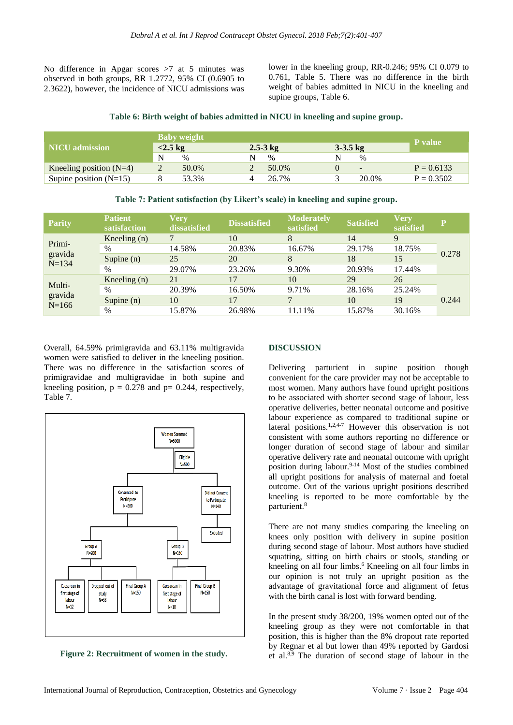No difference in Apgar scores >7 at 5 minutes was observed in both groups, RR 1.2772, 95% CI (0.6905 to 2.3622), however, the incidence of NICU admissions was lower in the kneeling group, RR-0.246; 95% CI 0.079 to 0.761, Table 5. There was no difference in the birth weight of babies admitted in NICU in the kneeling and supine groups, Table 6.

### **Table 6: Birth weight of babies admitted in NICU in kneeling and supine group.**

|                           | <b>Baby weight</b>       |       |              |       |            |                          |                |
|---------------------------|--------------------------|-------|--------------|-------|------------|--------------------------|----------------|
| <b>NICU</b> admission     | $<$ 2.5 kg               |       | $2.5 - 3$ kg |       | $3-3.5$ kg |                          | <b>P</b> value |
|                           | N                        | $\%$  |              | $\%$  |            | $\%$                     |                |
| Kneeling position $(N=4)$ | $\overline{\phantom{0}}$ | 50.0% |              | 50.0% |            | $\overline{\phantom{0}}$ | $P = 0.6133$   |
| Supine position $(N=15)$  |                          | 53.3% |              | 26.7% |            | 20.0%                    | $P = 0.3502$   |

**Parity Patient satisfaction Very dissatisfied Dissatisfied Moderate**<br>**Moderate satisfied Very Satisfied Very satisfied <sup>P</sup>** Primigravida N=134 Kneeling (n)  $7 \t 10 \t 8 \t 14 \t 9$  $\frac{\%}{\%}$  14.58% 20.83% 16.67% 29.17% 18.75% 0.278 Supine (n) 25 20 8 18 15 % 29.07% 23.26% 9.30% 20.93% 17.44% Multigravida  $N=166$ Kneeling (n)  $21$  17 10 29 26 0.244 % 20.39% 16.50% 9.71% 28.16% 25.24% Supine (n) 10 17 7 10 19 % 15.87% 26.98% 11.11% 15.87% 30.16%

### **Table 7: Patient satisfaction (by Likert's scale) in kneeling and supine group.**

Overall, 64.59% primigravida and 63.11% multigravida women were satisfied to deliver in the kneeling position. There was no difference in the satisfaction scores of primigravidae and multigravidae in both supine and kneeling position,  $p = 0.278$  and  $p = 0.244$ , respectively, Table 7.



**Figure 2: Recruitment of women in the study.**

### **DISCUSSION**

Delivering parturient in supine position though convenient for the care provider may not be acceptable to most women. Many authors have found upright positions to be associated with shorter second stage of labour, less operative deliveries, better neonatal outcome and positive labour experience as compared to traditional supine or lateral positions.<sup>1,2,4-7</sup> However this observation is not consistent with some authors reporting no difference or longer duration of second stage of labour and similar operative delivery rate and neonatal outcome with upright position during labour.<sup>9-14</sup> Most of the studies combined all upright positions for analysis of maternal and foetal outcome. Out of the various upright positions described kneeling is reported to be more comfortable by the parturient.<sup>8</sup>

There are not many studies comparing the kneeling on knees only position with delivery in supine position during second stage of labour. Most authors have studied squatting, sitting on birth chairs or stools, standing or kneeling on all four limbs.<sup>6</sup> Kneeling on all four limbs in our opinion is not truly an upright position as the advantage of gravitational force and alignment of fetus with the birth canal is lost with forward bending.

In the present study 38/200, 19% women opted out of the kneeling group as they were not comfortable in that position, this is higher than the 8% dropout rate reported by Regnar et al but lower than 49% reported by Gardosi et al.8,9 The duration of second stage of labour in the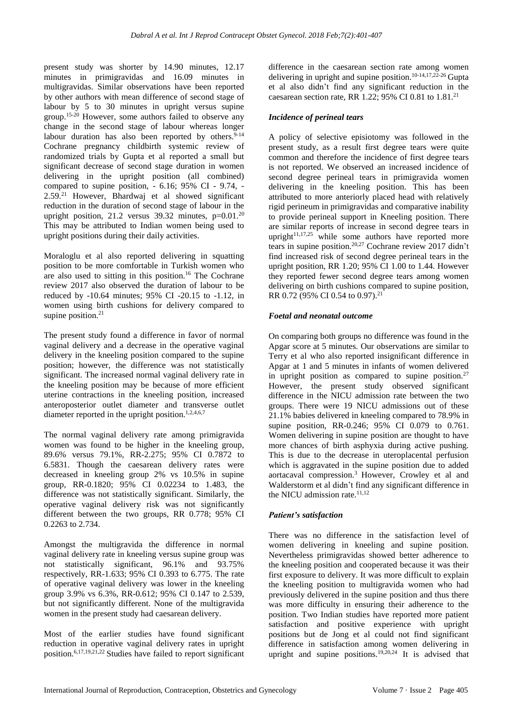present study was shorter by 14.90 minutes, 12.17 minutes in primigravidas and 16.09 minutes in multigravidas. Similar observations have been reported by other authors with mean difference of second stage of labour by 5 to 30 minutes in upright versus supine group.15-20 However, some authors failed to observe any change in the second stage of labour whereas longer labour duration has also been reported by others. $9-14$ Cochrane pregnancy childbirth systemic review of randomized trials by Gupta et al reported a small but significant decrease of second stage duration in women delivering in the upright position (all combined) compared to supine position,  $-6.16$ ; 95% CI  $-9.74$ ,  $-$ 2.59.<sup>21</sup> However, Bhardwaj et al showed significant reduction in the duration of second stage of labour in the upright position, 21.2 versus  $39.32$  minutes, p=0.01.<sup>20</sup> This may be attributed to Indian women being used to upright positions during their daily activities.

Moraloglu et al also reported delivering in squatting position to be more comfortable in Turkish women who are also used to sitting in this position.<sup>16</sup> The Cochrane review 2017 also observed the duration of labour to be reduced by -10.64 minutes; 95% CI -20.15 to -1.12, in women using birth cushions for delivery compared to supine position.<sup>21</sup>

The present study found a difference in favor of normal vaginal delivery and a decrease in the operative vaginal delivery in the kneeling position compared to the supine position; however, the difference was not statistically significant. The increased normal vaginal delivery rate in the kneeling position may be because of more efficient uterine contractions in the kneeling position, increased anteroposterior outlet diameter and transverse outlet diameter reported in the upright position.<sup>1,2,4,6,7</sup>

The normal vaginal delivery rate among primigravida women was found to be higher in the kneeling group, 89.6% versus 79.1%, RR-2.275; 95% CI 0.7872 to 6.5831. Though the caesarean delivery rates were decreased in kneeling group 2% vs 10.5% in supine group, RR-0.1820; 95% CI 0.02234 to 1.483, the difference was not statistically significant. Similarly, the operative vaginal delivery risk was not significantly different between the two groups, RR 0.778; 95% CI 0.2263 to 2.734.

Amongst the multigravida the difference in normal vaginal delivery rate in kneeling versus supine group was not statistically significant, 96.1% and 93.75% respectively, RR-1.633; 95% CI 0.393 to 6.775. The rate of operative vaginal delivery was lower in the kneeling group 3.9% vs 6.3%, RR-0.612; 95% CI 0.147 to 2.539, but not significantly different. None of the multigravida women in the present study had caesarean delivery.

Most of the earlier studies have found significant reduction in operative vaginal delivery rates in upright position.6,17,19,21,22 Studies have failed to report significant difference in the caesarean section rate among women delivering in upright and supine position.<sup>10-14,17,22-26</sup> Gupta et al also didn't find any significant reduction in the caesarean section rate, RR 1.22; 95% CI 0.81 to  $1.81<sup>21</sup>$ 

# *Incidence of perineal tears*

A policy of selective episiotomy was followed in the present study, as a result first degree tears were quite common and therefore the incidence of first degree tears is not reported. We observed an increased incidence of second degree perineal tears in primigravida women delivering in the kneeling position. This has been attributed to more anteriorly placed head with relatively rigid perineum in primigravidas and comparative inability to provide perineal support in Kneeling position. There are similar reports of increase in second degree tears in upright $11,17,25$  while some authors have reported more tears in supine position.<sup>20,27</sup> Cochrane review 2017 didn't find increased risk of second degree perineal tears in the upright position, RR 1.20; 95% CI 1.00 to 1.44. However they reported fewer second degree tears among women delivering on birth cushions compared to supine position, RR 0.72 (95% CI 0.54 to 0.97). 21

# *Foetal and neonatal outcome*

On comparing both groups no difference was found in the Apgar score at 5 minutes. Our observations are similar to Terry et al who also reported insignificant difference in Apgar at 1 and 5 minutes in infants of women delivered in upright position as compared to supine position.<sup>27</sup> However, the present study observed significant difference in the NICU admission rate between the two groups. There were 19 NICU admissions out of these 21.1% babies delivered in kneeling compared to 78.9% in supine position, RR-0.246; 95% CI 0.079 to 0.761. Women delivering in supine position are thought to have more chances of birth asphyxia during active pushing. This is due to the decrease in uteroplacental perfusion which is aggravated in the supine position due to added aortacaval compression.<sup>3</sup> However, Crowley et al and Walderstorm et al didn't find any significant difference in the NICU admission rate.<sup>11,12</sup>

# *Patient's satisfaction*

There was no difference in the satisfaction level of women delivering in kneeling and supine position. Nevertheless primigravidas showed better adherence to the kneeling position and cooperated because it was their first exposure to delivery. It was more difficult to explain the kneeling position to multigravida women who had previously delivered in the supine position and thus there was more difficulty in ensuring their adherence to the position. Two Indian studies have reported more patient satisfaction and positive experience with upright positions but de Jong et al could not find significant difference in satisfaction among women delivering in upright and supine positions.<sup>19,20,24</sup> It is advised that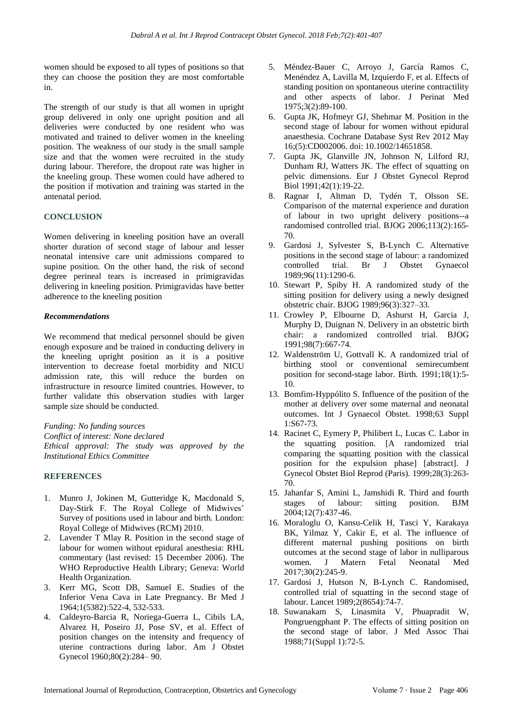women should be exposed to all types of positions so that they can choose the position they are most comfortable in.

The strength of our study is that all women in upright group delivered in only one upright position and all deliveries were conducted by one resident who was motivated and trained to deliver women in the kneeling position. The weakness of our study is the small sample size and that the women were recruited in the study during labour. Therefore, the dropout rate was higher in the kneeling group. These women could have adhered to the position if motivation and training was started in the antenatal period.

# **CONCLUSION**

Women delivering in kneeling position have an overall shorter duration of second stage of labour and lesser neonatal intensive care unit admissions compared to supine position. On the other hand, the risk of second degree perineal tears is increased in primigravidas delivering in kneeling position. Primigravidas have better adherence to the kneeling position

# *Recommendations*

We recommend that medical personnel should be given enough exposure and be trained in conducting delivery in the kneeling upright position as it is a positive intervention to decrease foetal morbidity and NICU admission rate, this will reduce the burden on infrastructure in resource limited countries. However, to further validate this observation studies with larger sample size should be conducted.

*Funding: No funding sources*

*Conflict of interest: None declared Ethical approval: The study was approved by the Institutional Ethics Committee*

# **REFERENCES**

- 1. Munro J, Jokinen M, Gutteridge K, Macdonald S, Day-Stirk F. The Royal College of Midwives' Survey of positions used in labour and birth. London: Royal College of Midwives (RCM) 2010.
- 2. Lavender T Mlay R. Position in the second stage of labour for women without epidural anesthesia: RHL commentary (last revised: 15 December 2006). The WHO Reproductive Health Library; Geneva: World Health Organization.
- 3. Kerr MG, Scott DB, Samuel E. Studies of the Inferior Vena Cava in Late Pregnancy. Br Med J 1964;1(5382):522-4, 532-533.
- 4. Caldeyro-Barcia R, Noriega-Guerra L, Cibils LA, Alvarez H, Poseiro JJ, Pose SV, et al. Effect of position changes on the intensity and frequency of uterine contractions during labor. Am J Obstet Gynecol 1960;80(2):284– 90.
- 5. Méndez-Bauer C, Arroyo J, García Ramos C, Menéndez A, Lavilla M, Izquierdo F, et al. Effects of standing position on spontaneous uterine contractility and other aspects of labor. J Perinat Med 1975;3(2):89-100.
- 6. Gupta JK, Hofmeyr GJ, Shehmar M. Position in the second stage of labour for women without epidural anaesthesia. Cochrane Database Syst Rev 2012 May 16;(5):CD002006. doi: 10.1002/14651858.
- 7. Gupta JK, Glanville JN, Johnson N, Lilford RJ, Dunham RJ, Watters JK. The effect of squatting on pelvic dimensions. Eur J Obstet Gynecol Reprod Biol 1991;42(1):19-22.
- 8. Ragnar I, Altman D, Tydén T, Olsson SE. Comparison of the maternal experience and duration of labour in two upright delivery positions--a randomised controlled trial. BJOG 2006;113(2):165- 70.
- 9. Gardosi J, Sylvester S, B-Lynch C. Alternative positions in the second stage of labour: a randomized controlled trial. Br J Obstet Gynaecol 1989;96(11):1290-6.
- 10. Stewart P, Spiby H. A randomized study of the sitting position for delivery using a newly designed obstetric chair. BJOG 1989;96(3):327–33.
- 11. Crowley P, Elbourne D, Ashurst H, Garcia J, Murphy D, Duignan N. Delivery in an obstetric birth chair: a randomized controlled trial. BJOG 1991;98(7):667-74.
- 12. Waldenström U, Gottvall K. A randomized trial of birthing stool or conventional semirecumbent position for second-stage labor. Birth. 1991;18(1):5- 10.
- 13. Bomfim-Hyppólito S. Influence of the position of the mother at delivery over some maternal and neonatal outcomes. Int J Gynaecol Obstet. 1998;63 Suppl 1:S67-73.
- 14. Racinet C, Eymery P, Philibert L, Lucas C. Labor in the squatting position. [A randomized trial comparing the squatting position with the classical position for the expulsion phase] [abstract]. J Gynecol Obstet Biol Reprod (Paris). 1999;28(3):263- 70.
- 15. Jahanfar S, Amini L, Jamshidi R. Third and fourth stages of labour: sitting position. BJM 2004;12(7):437-46.
- 16. Moraloglu O, Kansu-Celik H, Tasci Y, Karakaya BK, Yilmaz Y, Cakir E, et al. The influence of different maternal pushing positions on birth outcomes at the second stage of labor in nulliparous women. J Matern Fetal Neonatal Med 2017;30(2):245-9.
- 17. Gardosi J, Hutson N, B-Lynch C. Randomised, controlled trial of squatting in the second stage of labour. Lancet 1989;2(8654):74-7.
- 18. Suwanakam S, Linasmita V, Phuapradit W, Pongruengphant P. The effects of sitting position on the second stage of labor. J Med Assoc Thai 1988;71(Suppl 1):72-5.